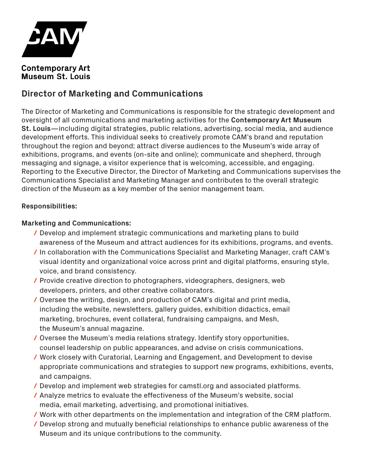

#### **Contemporary Art Museum St. Louis**

# **Director of Marketing and Communications**

The Director of Marketing and Communications is responsible for the strategic development and oversight of all communications and marketing activities for the **Contemporary Art Museum St. Louis**—including digital strategies, public relations, advertising, social media, and audience development efforts. This individual seeks to creatively promote CAM's brand and reputation throughout the region and beyond; attract diverse audiences to the Museum's wide array of exhibitions, programs, and events (on-site and online); communicate and shepherd, through messaging and signage, a visitor experience that is welcoming, accessible, and engaging. Reporting to the Executive Director, the Director of Marketing and Communications supervises the Communications Specialist and Marketing Manager and contributes to the overall strategic direction of the Museum as a key member of the senior management team.

## **Responsibilities:**

#### **Marketing and Communications:**

- **/** Develop and implement strategic communications and marketing plans to build awareness of the Museum and attract audiences for its exhibitions, programs, and events.
- **/** In collaboration with the Communications Specialist and Marketing Manager, craft CAM's visual identity and organizational voice across print and digital platforms, ensuring style, voice, and brand consistency.
- **/** Provide creative direction to photographers, videographers, designers, web developers, printers, and other creative collaborators.
- **/** Oversee the writing, design, and production of CAM's digital and print media, including the website, newsletters, gallery guides, exhibition didactics, email marketing, brochures, event collateral, fundraising campaigns, and Mesh, the Museum's annual magazine.
- **/** Oversee the Museum's media relations strategy. Identify story opportunities, counsel leadership on public appearances, and advise on crisis communications.
- **/** Work closely with Curatorial, Learning and Engagement, and Development to devise appropriate communications and strategies to support new programs, exhibitions, events, and campaigns.
- **/** Develop and implement web strategies for camstl.org and associated platforms.
- **/** Analyze metrics to evaluate the effectiveness of the Museum's website, social media, email marketing, advertising, and promotional initiatives.
- **/** Work with other departments on the implementation and integration of the CRM platform.
- **/** Develop strong and mutually beneficial relationships to enhance public awareness of the Museum and its unique contributions to the community.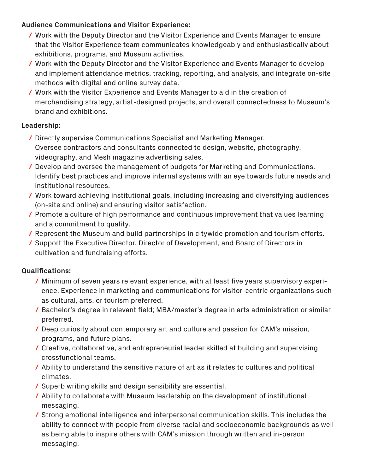## **Audience Communications and Visitor Experience:**

- **/** Work with the Deputy Director and the Visitor Experience and Events Manager to ensure that the Visitor Experience team communicates knowledgeably and enthusiastically about exhibitions, programs, and Museum activities.
- **/** Work with the Deputy Director and the Visitor Experience and Events Manager to develop and implement attendance metrics, tracking, reporting, and analysis, and integrate on-site methods with digital and online survey data.
- **/** Work with the Visitor Experience and Events Manager to aid in the creation of merchandising strategy, artist-designed projects, and overall connectedness to Museum's brand and exhibitions.

## **Leadership:**

- **/** Directly supervise Communications Specialist and Marketing Manager. Oversee contractors and consultants connected to design, website, photography, videography, and Mesh magazine advertising sales.
- **/** Develop and oversee the management of budgets for Marketing and Communications. Identify best practices and improve internal systems with an eye towards future needs and institutional resources.
- **/** Work toward achieving institutional goals, including increasing and diversifying audiences (on-site and online) and ensuring visitor satisfaction.
- **/** Promote a culture of high performance and continuous improvement that values learning and a commitment to quality.
- **/** Represent the Museum and build partnerships in citywide promotion and tourism efforts.
- **/** Support the Executive Director, Director of Development, and Board of Directors in cultivation and fundraising efforts.

# **Qualifications:**

- **/** Minimum of seven years relevant experience, with at least five years supervisory experience. Experience in marketing and communications for visitor-centric organizations such as cultural, arts, or tourism preferred.
- **/** Bachelor's degree in relevant field; MBA/master's degree in arts administration or similar preferred.
- **/** Deep curiosity about contemporary art and culture and passion for CAM's mission, programs, and future plans.
- **/** Creative, collaborative, and entrepreneurial leader skilled at building and supervising crossfunctional teams.
- **/** Ability to understand the sensitive nature of art as it relates to cultures and political climates.
- **/** Superb writing skills and design sensibility are essential.
- **/** Ability to collaborate with Museum leadership on the development of institutional messaging.
- **/** Strong emotional intelligence and interpersonal communication skills. This includes the ability to connect with people from diverse racial and socioeconomic backgrounds as well as being able to inspire others with CAM's mission through written and in-person messaging.